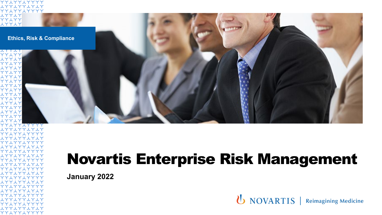

**January 2022**

1771771717 YYIYYIYYYY 1771771717 YYIYYIYYYY **エイイスイイスイスイ** YY LYY LYYYY **エイイスイイスイスイ** YYIYYIYYYY 1771771717 YYIYYIYYYY **エイイスイイスイス YYIYYIYYYY エイイスイイスイスイ** YYIYYIYYYY

**スイイスイイスイスイ** YYIYYIYYYY **エイイスイイスイスイ YYLYYLYYYY**  **U** NOVARTIS | Reimagining Medicine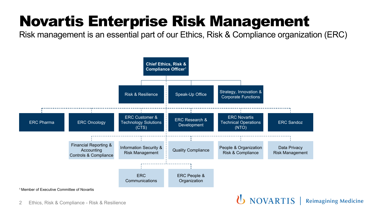Risk management is an essential part of our Ethics, Risk & Compliance organization (ERC)

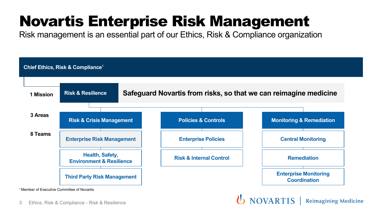Risk management is an essential part of our Ethics, Risk & Compliance organization



**Reimagining Medicine** 

3 Ethics, Risk & Compliance - Risk & Resilience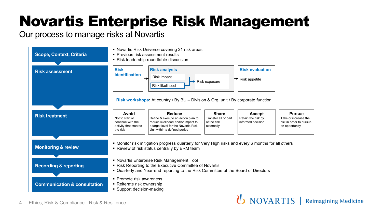### Our process to manage risks at Novartis

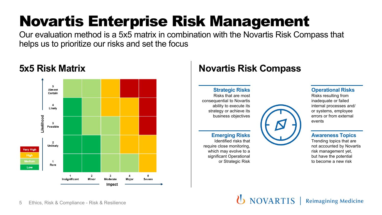Our evaluation method is a 5x5 matrix in combination with the Novartis Risk Compass that helps us to prioritize our risks and set the focus



## **5x5 Risk Matrix Novartis Risk Compass**

**Strategic Risks** Risks that are most consequential to Novartis ability to execute its strategy or achieve its business objectives

### **Emerging Risks**

Identified risks that require close monitoring, which may evolve to a significant Operational or Strategic Risk



#### **Operational Risks**

Risks resulting from inadequate or failed internal processes and/ or systems, employee errors or from external events

### **Awareness Topics**

Trending topics that are not accounted by Novartis risk management yet, but have the potential to become a new risk

**(b)** NOVARTIS Reimagining Medicine